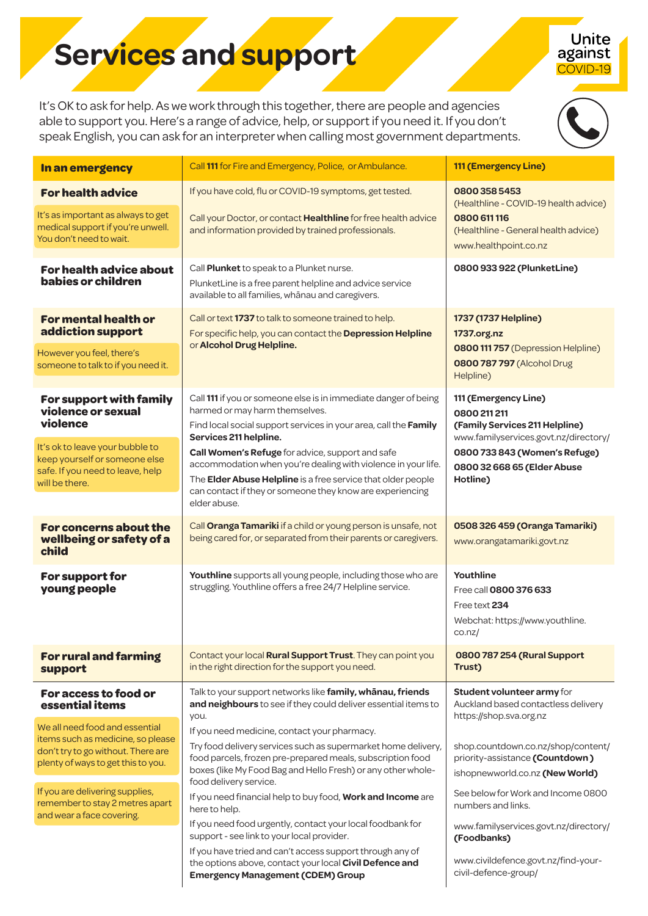## **Services and support**

Unite against COVID-19

It's OK to ask for help. As we work through this together, there are people and agencies able to support you. Here's a range of advice, help, or support if you need it. If you don't speak English, you can ask for an interpreter when calling most government departments.



| In an emergency                                                                                                                                                                     | Call 111 for Fire and Emergency, Police, or Ambulance.                                                                                                                                                                                                                                                                                                                                                                                                            | 111 (Emergency Line)                                                                                                                                                                        |
|-------------------------------------------------------------------------------------------------------------------------------------------------------------------------------------|-------------------------------------------------------------------------------------------------------------------------------------------------------------------------------------------------------------------------------------------------------------------------------------------------------------------------------------------------------------------------------------------------------------------------------------------------------------------|---------------------------------------------------------------------------------------------------------------------------------------------------------------------------------------------|
| <b>For health advice</b><br>It's as important as always to get<br>medical support if you're unwell.<br>You don't need to wait.                                                      | If you have cold, flu or COVID-19 symptoms, get tested.<br>Call your Doctor, or contact Healthline for free health advice<br>and information provided by trained professionals.                                                                                                                                                                                                                                                                                   | 08003585453<br>(Healthline - COVID-19 health advice)<br>0800 611 116<br>(Healthline - General health advice)<br>www.healthpoint.co.nz                                                       |
| For health advice about<br>babies or children                                                                                                                                       | Call Plunket to speak to a Plunket nurse.<br>PlunketLine is a free parent helpline and advice service<br>available to all families, whanau and caregivers.                                                                                                                                                                                                                                                                                                        | 0800 933 922 (PlunketLine)                                                                                                                                                                  |
| <b>For mental health or</b><br>addiction support<br>However you feel, there's<br>someone to talk to if you need it.                                                                 | Call or text 1737 to talk to someone trained to help.<br>For specific help, you can contact the Depression Helpline<br>or Alcohol Drug Helpline.                                                                                                                                                                                                                                                                                                                  | 1737 (1737 Helpline)<br>1737.org.nz<br>0800 111 757 (Depression Helpline)<br>0800 787 797 (Alcohol Drug<br>Helpline)                                                                        |
| For support with family<br>violence or sexual<br>violence<br>It's ok to leave your bubble to<br>keep yourself or someone else<br>safe. If you need to leave, help<br>will be there. | Call 111 if you or someone else is in immediate danger of being<br>harmed or may harm themselves.<br>Find local social support services in your area, call the Family<br>Services 211 helpline.<br>Call Women's Refuge for advice, support and safe<br>accommodation when you're dealing with violence in your life.<br>The Elder Abuse Helpline is a free service that older people<br>can contact if they or someone they know are experiencing<br>elder abuse. | 111 (Emergency Line)<br>0800 211 211<br>(Family Services 211 Helpline)<br>www.familyservices.govt.nz/directory/<br>0800 733 843 (Women's Refuge)<br>0800 32 668 65 (Elder Abuse<br>Hotline) |
| <b>For concerns about the</b><br>wellbeing or safety of a<br>child                                                                                                                  | Call Oranga Tamariki if a child or young person is unsafe, not<br>being cared for, or separated from their parents or caregivers.                                                                                                                                                                                                                                                                                                                                 | 0508 326 459 (Oranga Tamariki)<br>www.orangatamariki.govt.nz                                                                                                                                |
| For support for<br>young people                                                                                                                                                     | Youthline supports all young people, including those who are<br>struggling. Youthline offers a free 24/7 Helpline service.                                                                                                                                                                                                                                                                                                                                        | Youthline<br>Free call 0800 376 633<br>Free text 234<br>Webchat: https://www.youthline.<br>$\cos nz/$                                                                                       |
| <b>For rural and farming</b><br>support                                                                                                                                             | Contact your local Rural Support Trust. They can point you<br>in the right direction for the support you need.                                                                                                                                                                                                                                                                                                                                                    | 0800 787 254 (Rural Support<br>Trust)                                                                                                                                                       |
| For access to food or<br>essential items                                                                                                                                            | Talk to your support networks like family, whanau, friends<br>and neighbours to see if they could deliver essential items to<br>you.                                                                                                                                                                                                                                                                                                                              | Student volunteer army for<br>Auckland based contactless delivery<br>https://shop.sva.org.nz                                                                                                |
| We all need food and essential<br>items such as medicine, so please<br>don't try to go without. There are<br>plenty of ways to get this to you.                                     | If you need medicine, contact your pharmacy.<br>Try food delivery services such as supermarket home delivery,<br>food parcels, frozen pre-prepared meals, subscription food<br>boxes (like My Food Bag and Hello Fresh) or any other whole-<br>food delivery service.                                                                                                                                                                                             | shop.countdown.co.nz/shop/content/<br>priority-assistance (Countdown)<br>ishopnewworld.co.nz (New World)                                                                                    |
| If you are delivering supplies,<br>remember to stay 2 metres apart<br>and wear a face covering.                                                                                     | If you need financial help to buy food, Work and Income are<br>here to help.<br>If you need food urgently, contact your local foodbank for<br>support - see link to your local provider.<br>If you have tried and can't access support through any of                                                                                                                                                                                                             | See below for Work and Income 0800<br>numbers and links.<br>www.familyservices.govt.nz/directory/<br>(Foodbanks)                                                                            |
|                                                                                                                                                                                     | the options above, contact your local Civil Defence and<br><b>Emergency Management (CDEM) Group</b>                                                                                                                                                                                                                                                                                                                                                               | www.civildefence.govt.nz/find-your-<br>civil-defence-group/                                                                                                                                 |